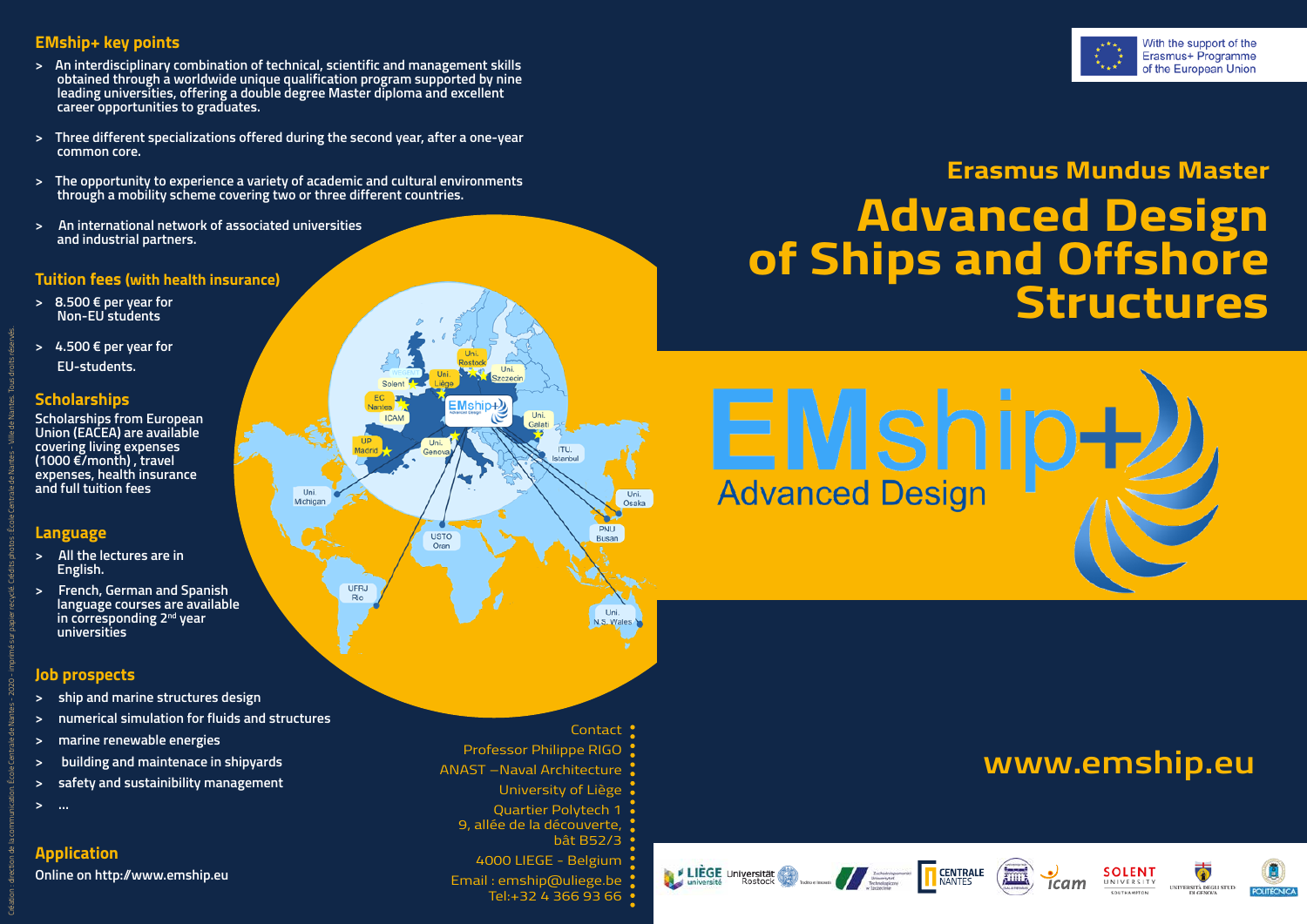#### **EMship+ key points**

- **> An interdisciplinary combination of technical, scientific and management skills obtained through a worldwide unique qualification program supported by nine leading universities, offering a double degree Master diploma and excellent career opportunities to graduates.**
- **> Three different specializations offered during the second year, after a one-year common core.**
- **> The opportunity to experience a variety of academic and cultural environments through a mobility scheme covering two or three different countries.**

Uni.

Michigar

**UFRJ** Rio

**> An international network of associated universities and industrial partners.**

#### **Tuition fees (with health insurance)**

- **> 8.500 € per year for Non-EU students**
- **> 4.500 € per year for EU-students.**

#### **Scholarships**

**Scholarships from European Union (EACEA) are available covering living expenses (1000 €/month) , travel expenses, health insurance and full tuition fees**

#### **Language**

Création : direction de la communication. École Centrale de Nantes - 2020 - imprimé sur papier recyclé. Crédits photos : École Centrale de Nantes - Ville de Nantes. Tous droits réservés.

- **> All the lectures are in English.**
- **> French, German and Spanish language courses are available in corresponding 2nd year universities**

#### **Job prospects**

- **> ship and marine structures design**
- **> numerical simulation for fluids and structures**
- **> marine renewable energies**
- **> building and maintenace in shipyards**
- **> safety and sustainibility management**
- **> …**

#### **Application**

**Online on http://www.emship.eu**



# **Erasmus Mundus Master Advanced Design of Ships and Offshore Structures**



**T CENTRALE** 

# **www.emship.eu**

**SOLENT** UNIVERSITY

UNIVERSITÀ DEGLI STUDI

 $icam$ 



Contact !

Professor Philippe RIGO

 $\text{EMship-2}$ 

**USTO** 

Oran

**Uni** 

ITU. letanhul

Uni.

Osaka

PNU

Busan

Uni.<br>N.S. Wales